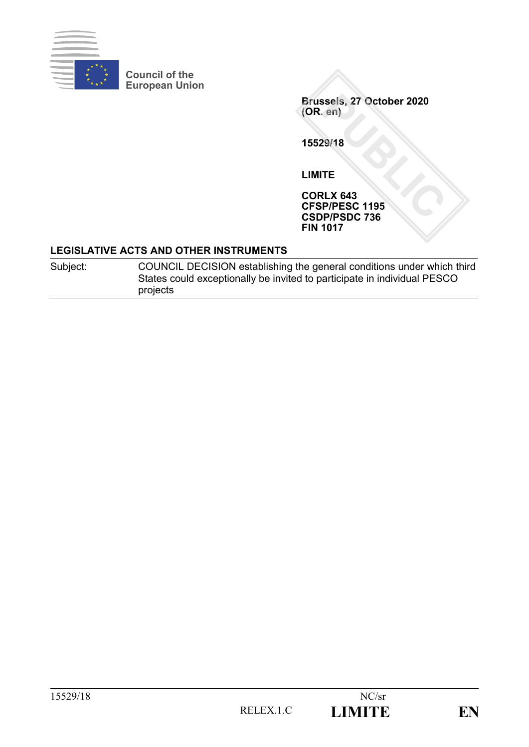

**Council of the European Union**

> **Brussels, 27 October 2020 (OR. en)**

**15529/18**

**LIMITE**

**CORLX 643 CFSP/PESC 1195 CSDP/PSDC 736 FIN 1017**

#### **LEGISLATIVE ACTS AND OTHER INSTRUMENTS**

Subject: COUNCIL DECISION establishing the general conditions under which third States could exceptionally be invited to participate in individual PESCO projects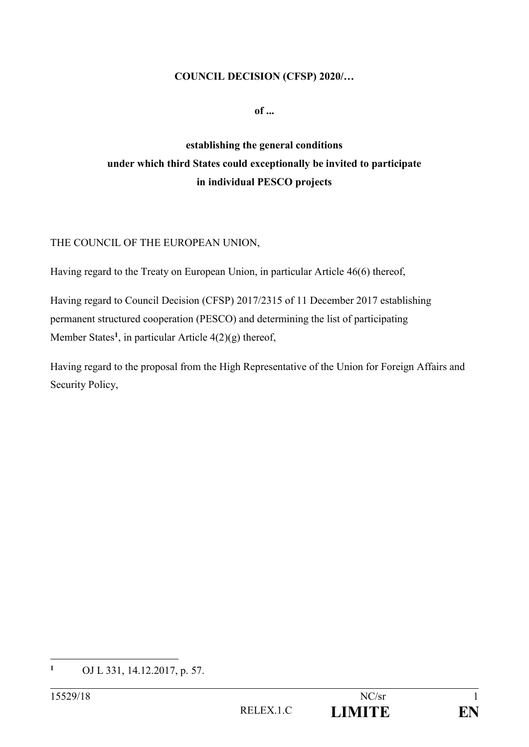#### **COUNCIL DECISION (CFSP) 2020/…**

**of ...**

# **establishing the general conditions under which third States could exceptionally be invited to participate in individual PESCO projects**

#### THE COUNCIL OF THE EUROPEAN UNION,

Having regard to the Treaty on European Union, in particular Article 46(6) thereof,

Having regard to Council Decision (CFSP) 2017/2315 of 11 December 2017 establishing permanent structured cooperation (PESCO) and determining the list of participating Member States**<sup>1</sup>** , in particular Article 4(2)(g) thereof,

Having regard to the proposal from the High Representative of the Union for Foreign Affairs and Security Policy,

1

**<sup>1</sup>** OJ L 331, 14.12.2017, p. 57.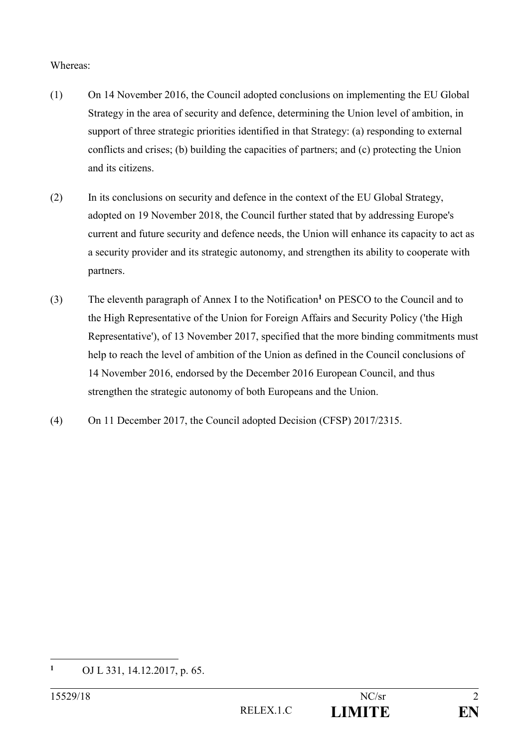Whereas:

- (1) On 14 November 2016, the Council adopted conclusions on implementing the EU Global Strategy in the area of security and defence, determining the Union level of ambition, in support of three strategic priorities identified in that Strategy: (a) responding to external conflicts and crises; (b) building the capacities of partners; and (c) protecting the Union and its citizens.
- (2) In its conclusions on security and defence in the context of the EU Global Strategy, adopted on 19 November 2018, the Council further stated that by addressing Europe's current and future security and defence needs, the Union will enhance its capacity to act as a security provider and its strategic autonomy, and strengthen its ability to cooperate with partners.
- (3) The eleventh paragraph of Annex I to the Notification**<sup>1</sup>** on PESCO to the Council and to the High Representative of the Union for Foreign Affairs and Security Policy ('the High Representative'), of 13 November 2017, specified that the more binding commitments must help to reach the level of ambition of the Union as defined in the Council conclusions of 14 November 2016, endorsed by the December 2016 European Council, and thus strengthen the strategic autonomy of both Europeans and the Union.
- (4) On 11 December 2017, the Council adopted Decision (CFSP) 2017/2315.

1

**<sup>1</sup>** OJ L 331, 14.12.2017, p. 65.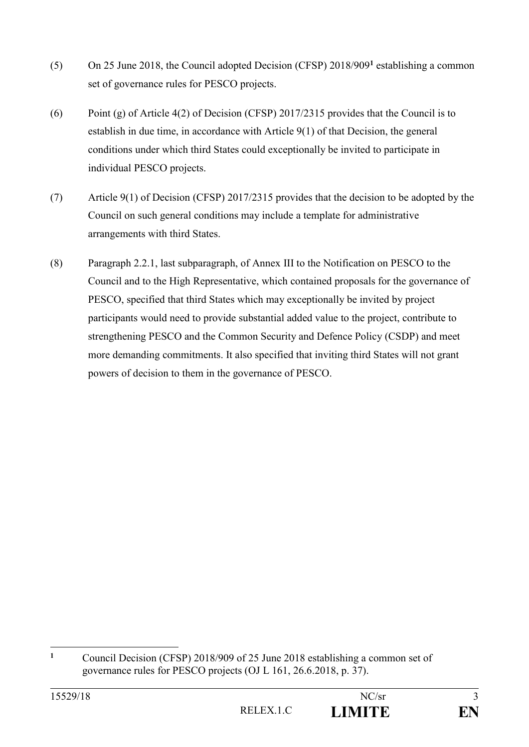- (5) On 25 June 2018, the Council adopted Decision (CFSP) 2018/909**<sup>1</sup>** establishing a common set of governance rules for PESCO projects.
- (6) Point (g) of Article 4(2) of Decision (CFSP) 2017/2315 provides that the Council is to establish in due time, in accordance with Article 9(1) of that Decision, the general conditions under which third States could exceptionally be invited to participate in individual PESCO projects.
- (7) Article 9(1) of Decision (CFSP) 2017/2315 provides that the decision to be adopted by the Council on such general conditions may include a template for administrative arrangements with third States.
- (8) Paragraph 2.2.1, last subparagraph, of Annex III to the Notification on PESCO to the Council and to the High Representative, which contained proposals for the governance of PESCO, specified that third States which may exceptionally be invited by project participants would need to provide substantial added value to the project, contribute to strengthening PESCO and the Common Security and Defence Policy (CSDP) and meet more demanding commitments. It also specified that inviting third States will not grant powers of decision to them in the governance of PESCO.

 $\mathbf{1}$ **<sup>1</sup>** Council Decision (CFSP) 2018/909 of 25 June 2018 establishing a common set of governance rules for PESCO projects (OJ L 161, 26.6.2018, p. 37).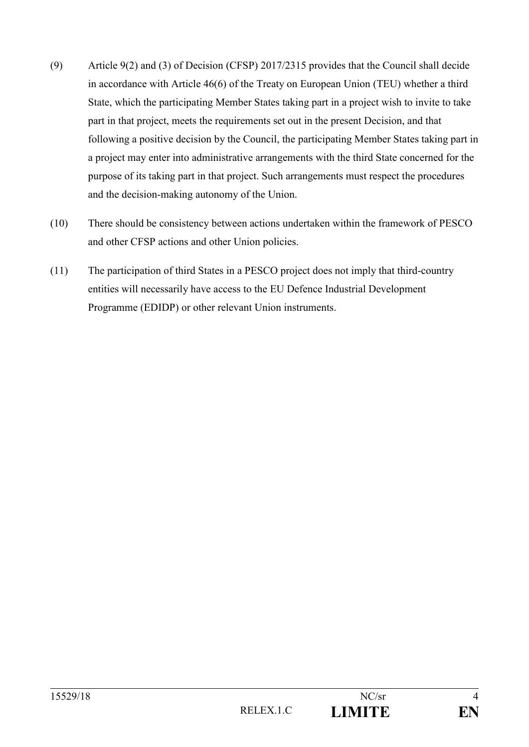- (9) Article 9(2) and (3) of Decision (CFSP) 2017/2315 provides that the Council shall decide in accordance with Article 46(6) of the Treaty on European Union (TEU) whether a third State, which the participating Member States taking part in a project wish to invite to take part in that project, meets the requirements set out in the present Decision, and that following a positive decision by the Council, the participating Member States taking part in a project may enter into administrative arrangements with the third State concerned for the purpose of its taking part in that project. Such arrangements must respect the procedures and the decision-making autonomy of the Union.
- (10) There should be consistency between actions undertaken within the framework of PESCO and other CFSP actions and other Union policies.
- (11) The participation of third States in a PESCO project does not imply that third-country entities will necessarily have access to the EU Defence Industrial Development Programme (EDIDP) or other relevant Union instruments.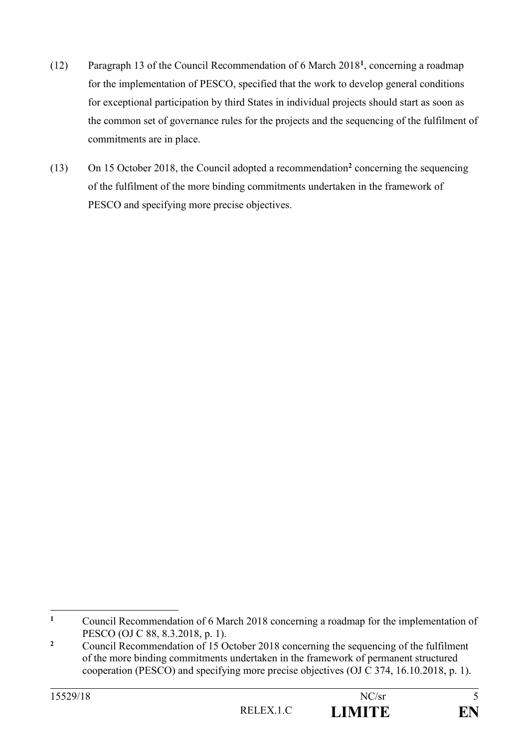- (12) Paragraph 13 of the Council Recommendation of 6 March 2018**<sup>1</sup>** , concerning a roadmap for the implementation of PESCO, specified that the work to develop general conditions for exceptional participation by third States in individual projects should start as soon as the common set of governance rules for the projects and the sequencing of the fulfilment of commitments are in place.
- (13) On 15 October 2018, the Council adopted a recommendation**<sup>2</sup>** concerning the sequencing of the fulfilment of the more binding commitments undertaken in the framework of PESCO and specifying more precise objectives.

 $\mathbf{1}$ **<sup>1</sup>** Council Recommendation of 6 March 2018 concerning a roadmap for the implementation of PESCO (OJ C 88, 8.3.2018, p. 1).

<sup>&</sup>lt;sup>2</sup> Council Recommendation of 15 October 2018 concerning the sequencing of the fulfilment of the more binding commitments undertaken in the framework of permanent structured cooperation (PESCO) and specifying more precise objectives (OJ C 374, 16.10.2018, p. 1).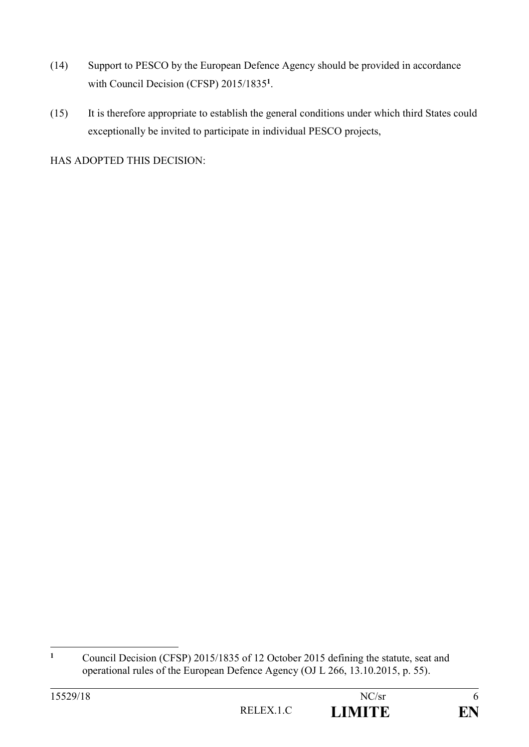- (14) Support to PESCO by the European Defence Agency should be provided in accordance with Council Decision (CFSP) 2015/1835**<sup>1</sup>** .
- (15) It is therefore appropriate to establish the general conditions under which third States could exceptionally be invited to participate in individual PESCO projects,

HAS ADOPTED THIS DECISION:

| 15529/18 |           | NC/sr         |  |
|----------|-----------|---------------|--|
|          | RELEX.1.C | <b>LIMITE</b> |  |

 $\mathbf{1}$ **<sup>1</sup>** Council Decision (CFSP) 2015/1835 of 12 October 2015 defining the statute, seat and operational rules of the European Defence Agency (OJ L 266, 13.10.2015, p. 55).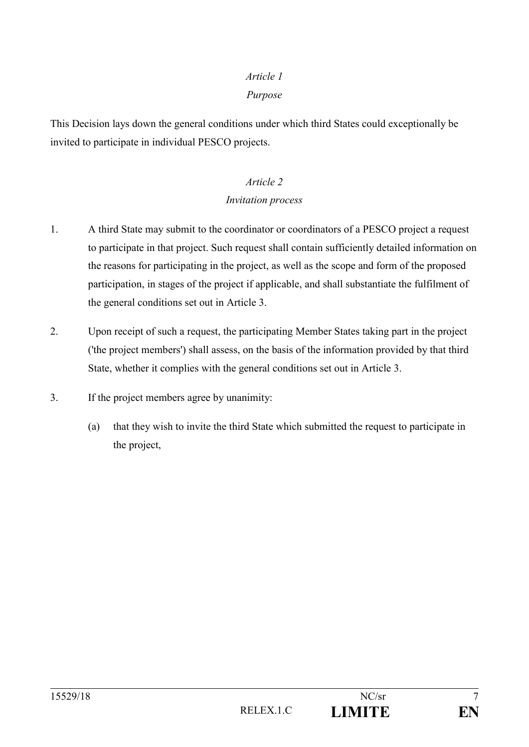#### *Purpose*

This Decision lays down the general conditions under which third States could exceptionally be invited to participate in individual PESCO projects.

# *Article 2*

### *Invitation process*

- 1. A third State may submit to the coordinator or coordinators of a PESCO project a request to participate in that project. Such request shall contain sufficiently detailed information on the reasons for participating in the project, as well as the scope and form of the proposed participation, in stages of the project if applicable, and shall substantiate the fulfilment of the general conditions set out in Article 3.
- 2. Upon receipt of such a request, the participating Member States taking part in the project ('the project members') shall assess, on the basis of the information provided by that third State, whether it complies with the general conditions set out in Article 3.
- 3. If the project members agree by unanimity:
	- (a) that they wish to invite the third State which submitted the request to participate in the project,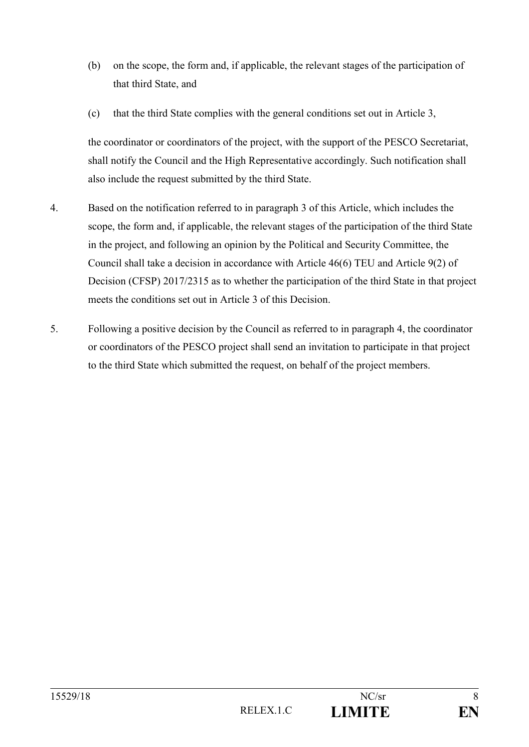- (b) on the scope, the form and, if applicable, the relevant stages of the participation of that third State, and
- (c) that the third State complies with the general conditions set out in Article 3,

the coordinator or coordinators of the project, with the support of the PESCO Secretariat, shall notify the Council and the High Representative accordingly. Such notification shall also include the request submitted by the third State.

- 4. Based on the notification referred to in paragraph 3 of this Article, which includes the scope, the form and, if applicable, the relevant stages of the participation of the third State in the project, and following an opinion by the Political and Security Committee, the Council shall take a decision in accordance with Article 46(6) TEU and Article 9(2) of Decision (CFSP) 2017/2315 as to whether the participation of the third State in that project meets the conditions set out in Article 3 of this Decision.
- 5. Following a positive decision by the Council as referred to in paragraph 4, the coordinator or coordinators of the PESCO project shall send an invitation to participate in that project to the third State which submitted the request, on behalf of the project members.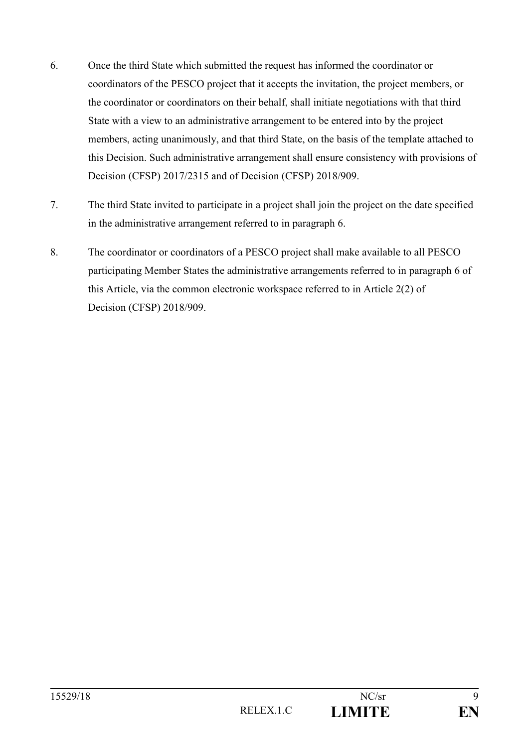- 6. Once the third State which submitted the request has informed the coordinator or coordinators of the PESCO project that it accepts the invitation, the project members, or the coordinator or coordinators on their behalf, shall initiate negotiations with that third State with a view to an administrative arrangement to be entered into by the project members, acting unanimously, and that third State, on the basis of the template attached to this Decision. Such administrative arrangement shall ensure consistency with provisions of Decision (CFSP) 2017/2315 and of Decision (CFSP) 2018/909.
- 7. The third State invited to participate in a project shall join the project on the date specified in the administrative arrangement referred to in paragraph 6.
- 8. The coordinator or coordinators of a PESCO project shall make available to all PESCO participating Member States the administrative arrangements referred to in paragraph 6 of this Article, via the common electronic workspace referred to in Article 2(2) of Decision (CFSP) 2018/909.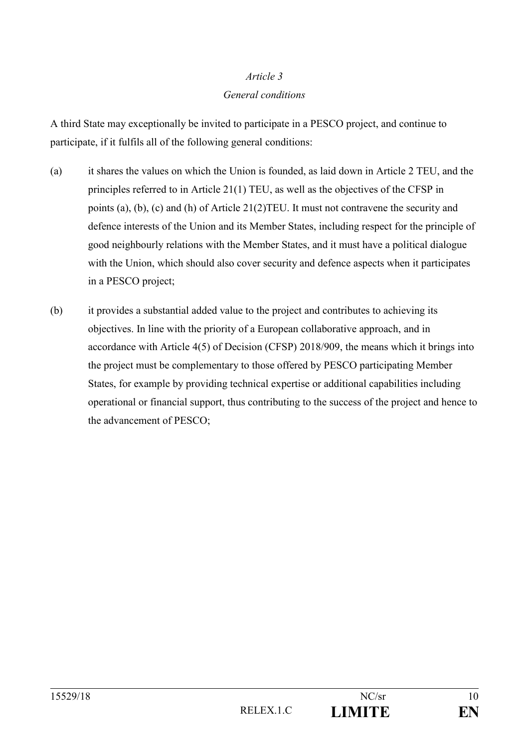#### *General conditions*

A third State may exceptionally be invited to participate in a PESCO project, and continue to participate, if it fulfils all of the following general conditions:

- (a) it shares the values on which the Union is founded, as laid down in Article 2 TEU, and the principles referred to in Article 21(1) TEU, as well as the objectives of the CFSP in points (a), (b), (c) and (h) of Article 21(2)TEU. It must not contravene the security and defence interests of the Union and its Member States, including respect for the principle of good neighbourly relations with the Member States, and it must have a political dialogue with the Union, which should also cover security and defence aspects when it participates in a PESCO project;
- (b) it provides a substantial added value to the project and contributes to achieving its objectives. In line with the priority of a European collaborative approach, and in accordance with Article 4(5) of Decision (CFSP) 2018/909, the means which it brings into the project must be complementary to those offered by PESCO participating Member States, for example by providing technical expertise or additional capabilities including operational or financial support, thus contributing to the success of the project and hence to the advancement of PESCO;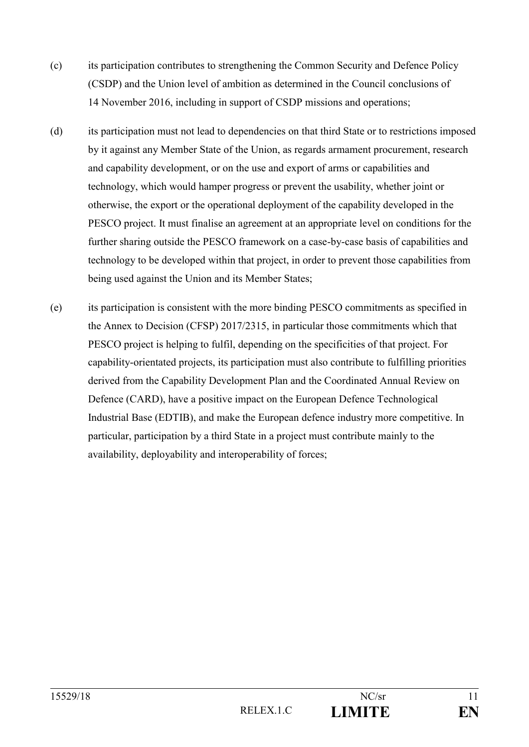- (c) its participation contributes to strengthening the Common Security and Defence Policy (CSDP) and the Union level of ambition as determined in the Council conclusions of 14 November 2016, including in support of CSDP missions and operations;
- (d) its participation must not lead to dependencies on that third State or to restrictions imposed by it against any Member State of the Union, as regards armament procurement, research and capability development, or on the use and export of arms or capabilities and technology, which would hamper progress or prevent the usability, whether joint or otherwise, the export or the operational deployment of the capability developed in the PESCO project. It must finalise an agreement at an appropriate level on conditions for the further sharing outside the PESCO framework on a case-by-case basis of capabilities and technology to be developed within that project, in order to prevent those capabilities from being used against the Union and its Member States;
- (e) its participation is consistent with the more binding PESCO commitments as specified in the Annex to Decision (CFSP) 2017/2315, in particular those commitments which that PESCO project is helping to fulfil, depending on the specificities of that project. For capability-orientated projects, its participation must also contribute to fulfilling priorities derived from the Capability Development Plan and the Coordinated Annual Review on Defence (CARD), have a positive impact on the European Defence Technological Industrial Base (EDTIB), and make the European defence industry more competitive. In particular, participation by a third State in a project must contribute mainly to the availability, deployability and interoperability of forces;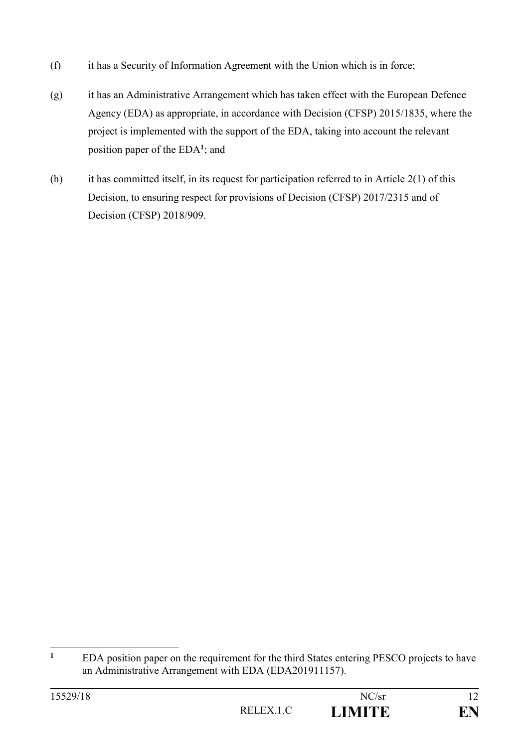- (f) it has a Security of Information Agreement with the Union which is in force;
- (g) it has an Administrative Arrangement which has taken effect with the European Defence Agency (EDA) as appropriate, in accordance with Decision (CFSP) 2015/1835, where the project is implemented with the support of the EDA, taking into account the relevant position paper of the EDA**<sup>1</sup>** ; and
- (h) it has committed itself, in its request for participation referred to in Article  $2(1)$  of this Decision, to ensuring respect for provisions of Decision (CFSP) 2017/2315 and of Decision (CFSP) 2018/909.

 $\mathbf{1}$ **<sup>1</sup>** EDA position paper on the requirement for the third States entering PESCO projects to have an Administrative Arrangement with EDA (EDA201911157).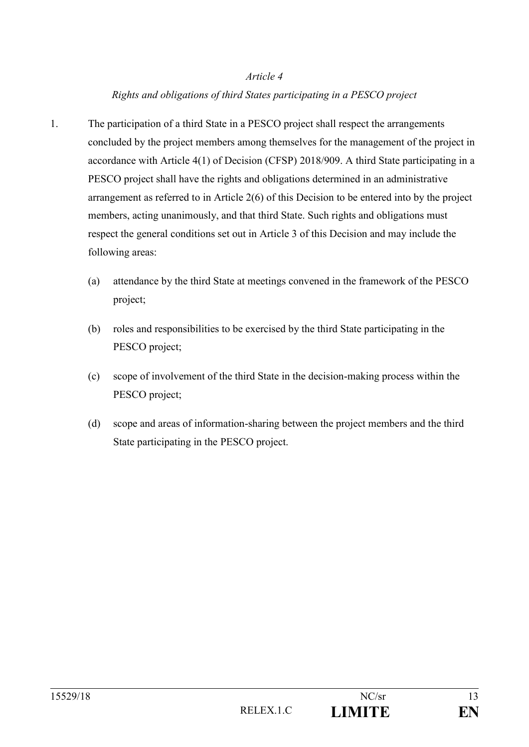#### *Rights and obligations of third States participating in a PESCO project*

- 1. The participation of a third State in a PESCO project shall respect the arrangements concluded by the project members among themselves for the management of the project in accordance with Article 4(1) of Decision (CFSP) 2018/909. A third State participating in a PESCO project shall have the rights and obligations determined in an administrative arrangement as referred to in Article 2(6) of this Decision to be entered into by the project members, acting unanimously, and that third State. Such rights and obligations must respect the general conditions set out in Article 3 of this Decision and may include the following areas:
	- (a) attendance by the third State at meetings convened in the framework of the PESCO project;
	- (b) roles and responsibilities to be exercised by the third State participating in the PESCO project;
	- (c) scope of involvement of the third State in the decision-making process within the PESCO project;
	- (d) scope and areas of information-sharing between the project members and the third State participating in the PESCO project.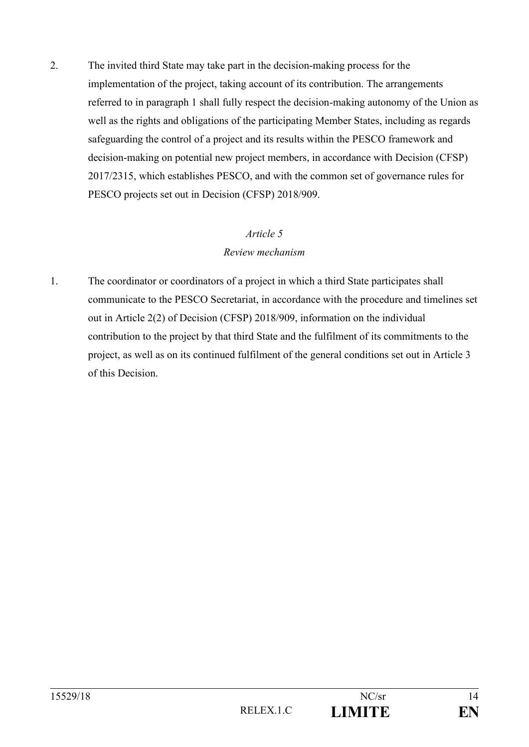2. The invited third State may take part in the decision-making process for the implementation of the project, taking account of its contribution. The arrangements referred to in paragraph 1 shall fully respect the decision-making autonomy of the Union as well as the rights and obligations of the participating Member States, including as regards safeguarding the control of a project and its results within the PESCO framework and decision-making on potential new project members, in accordance with Decision (CFSP) 2017/2315, which establishes PESCO, and with the common set of governance rules for PESCO projects set out in Decision (CFSP) 2018/909.

#### *Article 5*

#### *Review mechanism*

1. The coordinator or coordinators of a project in which a third State participates shall communicate to the PESCO Secretariat, in accordance with the procedure and timelines set out in Article 2(2) of Decision (CFSP) 2018/909, information on the individual contribution to the project by that third State and the fulfilment of its commitments to the project, as well as on its continued fulfilment of the general conditions set out in Article 3 of this Decision.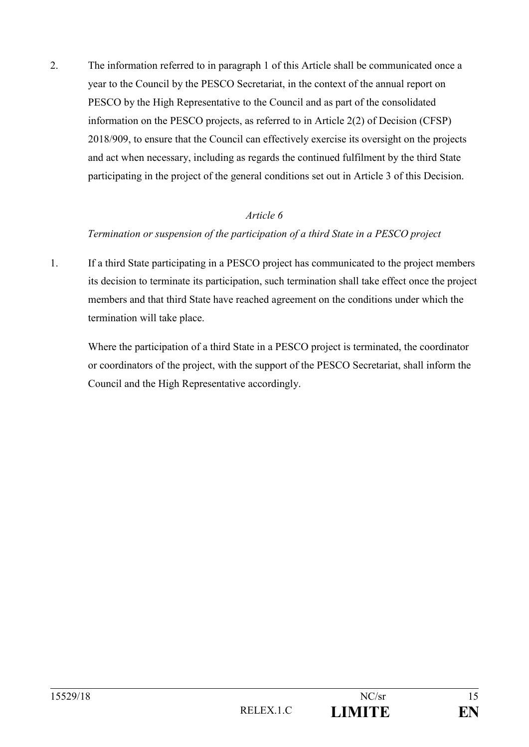2. The information referred to in paragraph 1 of this Article shall be communicated once a year to the Council by the PESCO Secretariat, in the context of the annual report on PESCO by the High Representative to the Council and as part of the consolidated information on the PESCO projects, as referred to in Article 2(2) of Decision (CFSP) 2018/909, to ensure that the Council can effectively exercise its oversight on the projects and act when necessary, including as regards the continued fulfilment by the third State participating in the project of the general conditions set out in Article 3 of this Decision.

#### *Article 6*

#### *Termination or suspension of the participation of a third State in a PESCO project*

1. If a third State participating in a PESCO project has communicated to the project members its decision to terminate its participation, such termination shall take effect once the project members and that third State have reached agreement on the conditions under which the termination will take place.

Where the participation of a third State in a PESCO project is terminated, the coordinator or coordinators of the project, with the support of the PESCO Secretariat, shall inform the Council and the High Representative accordingly.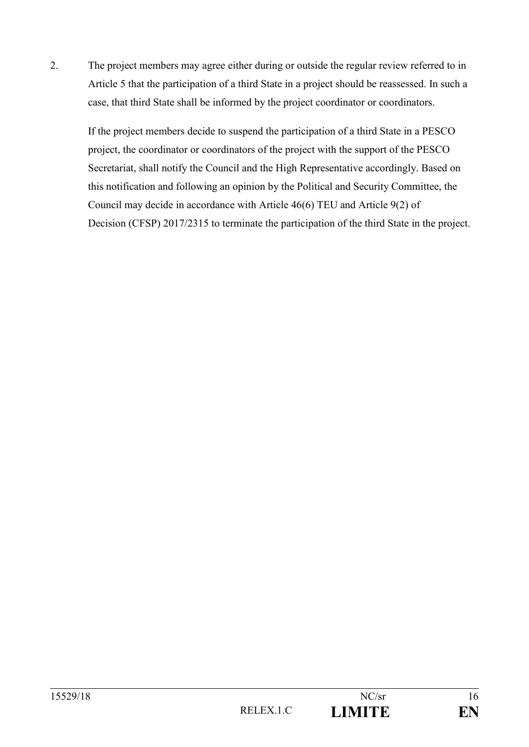2. The project members may agree either during or outside the regular review referred to in Article 5 that the participation of a third State in a project should be reassessed. In such a case, that third State shall be informed by the project coordinator or coordinators.

If the project members decide to suspend the participation of a third State in a PESCO project, the coordinator or coordinators of the project with the support of the PESCO Secretariat, shall notify the Council and the High Representative accordingly. Based on this notification and following an opinion by the Political and Security Committee, the Council may decide in accordance with Article 46(6) TEU and Article 9(2) of Decision (CFSP) 2017/2315 to terminate the participation of the third State in the project.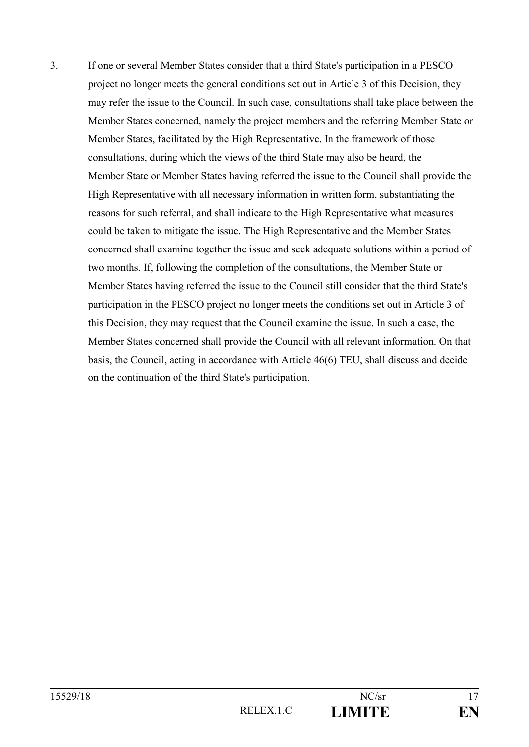3. If one or several Member States consider that a third State's participation in a PESCO project no longer meets the general conditions set out in Article 3 of this Decision, they may refer the issue to the Council. In such case, consultations shall take place between the Member States concerned, namely the project members and the referring Member State or Member States, facilitated by the High Representative. In the framework of those consultations, during which the views of the third State may also be heard, the Member State or Member States having referred the issue to the Council shall provide the High Representative with all necessary information in written form, substantiating the reasons for such referral, and shall indicate to the High Representative what measures could be taken to mitigate the issue. The High Representative and the Member States concerned shall examine together the issue and seek adequate solutions within a period of two months. If, following the completion of the consultations, the Member State or Member States having referred the issue to the Council still consider that the third State's participation in the PESCO project no longer meets the conditions set out in Article 3 of this Decision, they may request that the Council examine the issue. In such a case, the Member States concerned shall provide the Council with all relevant information. On that basis, the Council, acting in accordance with Article 46(6) TEU, shall discuss and decide on the continuation of the third State's participation.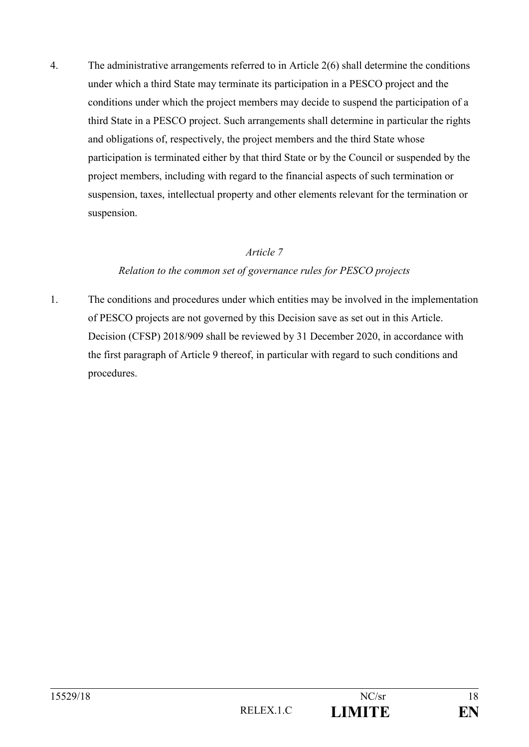4. The administrative arrangements referred to in Article 2(6) shall determine the conditions under which a third State may terminate its participation in a PESCO project and the conditions under which the project members may decide to suspend the participation of a third State in a PESCO project. Such arrangements shall determine in particular the rights and obligations of, respectively, the project members and the third State whose participation is terminated either by that third State or by the Council or suspended by the project members, including with regard to the financial aspects of such termination or suspension, taxes, intellectual property and other elements relevant for the termination or suspension.

#### *Article 7*

#### *Relation to the common set of governance rules for PESCO projects*

1. The conditions and procedures under which entities may be involved in the implementation of PESCO projects are not governed by this Decision save as set out in this Article. Decision (CFSP) 2018/909 shall be reviewed by 31 December 2020, in accordance with the first paragraph of Article 9 thereof, in particular with regard to such conditions and procedures.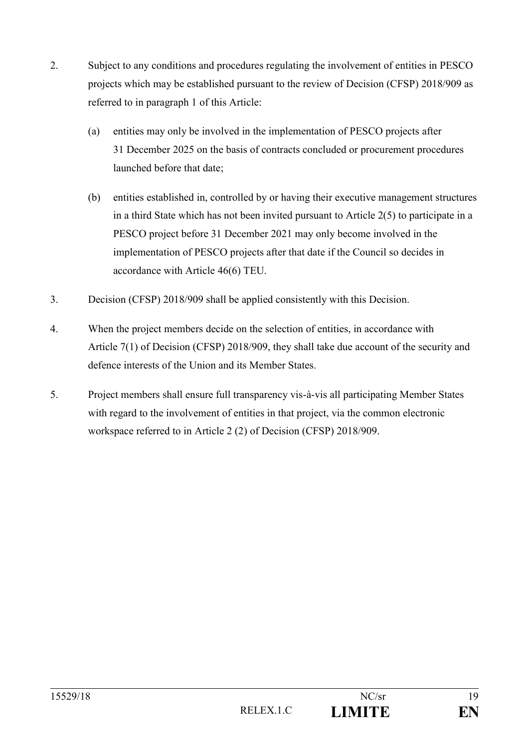- 2. Subject to any conditions and procedures regulating the involvement of entities in PESCO projects which may be established pursuant to the review of Decision (CFSP) 2018/909 as referred to in paragraph 1 of this Article:
	- (a) entities may only be involved in the implementation of PESCO projects after 31 December 2025 on the basis of contracts concluded or procurement procedures launched before that date;
	- (b) entities established in, controlled by or having their executive management structures in a third State which has not been invited pursuant to Article 2(5) to participate in a PESCO project before 31 December 2021 may only become involved in the implementation of PESCO projects after that date if the Council so decides in accordance with Article 46(6) TEU.
- 3. Decision (CFSP) 2018/909 shall be applied consistently with this Decision.
- 4. When the project members decide on the selection of entities, in accordance with Article 7(1) of Decision (CFSP) 2018/909, they shall take due account of the security and defence interests of the Union and its Member States.
- 5. Project members shall ensure full transparency vis-à-vis all participating Member States with regard to the involvement of entities in that project, via the common electronic workspace referred to in Article 2 (2) of Decision (CFSP) 2018/909.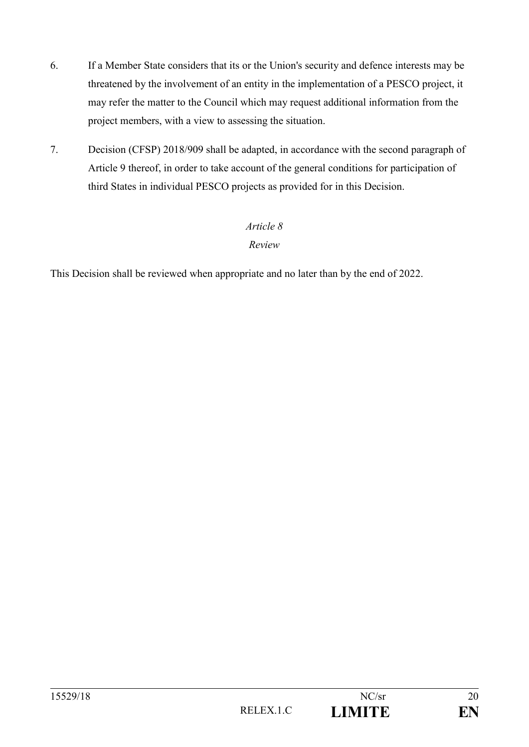- 6. If a Member State considers that its or the Union's security and defence interests may be threatened by the involvement of an entity in the implementation of a PESCO project, it may refer the matter to the Council which may request additional information from the project members, with a view to assessing the situation.
- 7. Decision (CFSP) 2018/909 shall be adapted, in accordance with the second paragraph of Article 9 thereof, in order to take account of the general conditions for participation of third States in individual PESCO projects as provided for in this Decision.

#### *Review*

This Decision shall be reviewed when appropriate and no later than by the end of 2022.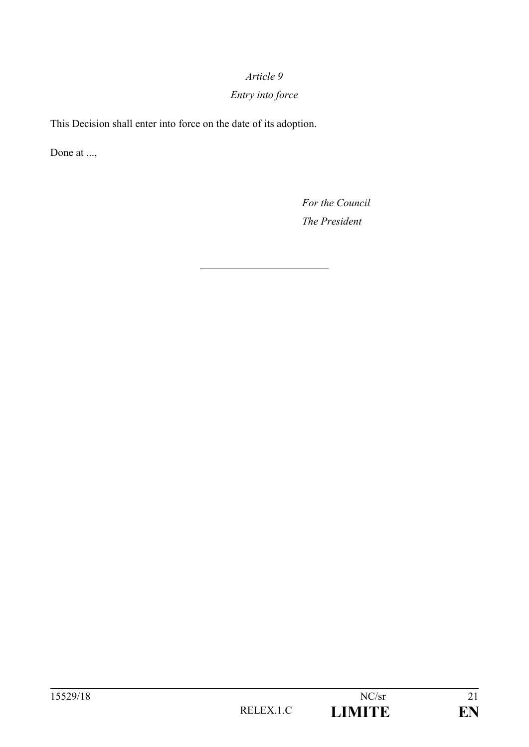# *Entry into force*

This Decision shall enter into force on the date of its adoption.

Done at ...,

*For the Council The President*